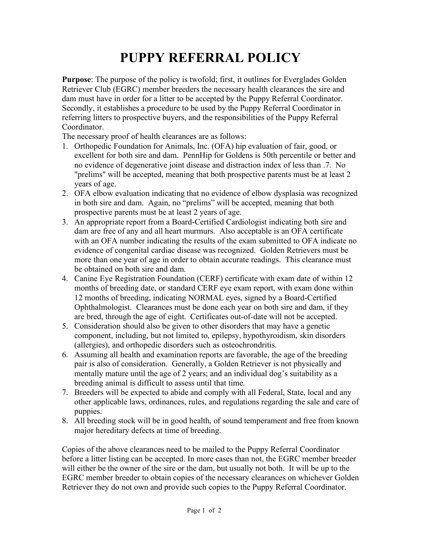## **PUPPY REFERRAL POLICY**

**Purpose**: The purpose of the policy is twofold; first, it outlines for Everglades Golden Retriever Club (EGRC) member breeders the necessary health clearances the sire and dam must have in order for a litter to be accepted by the Puppy Referral Coordinator. Secondly, it establishes a procedure to be used by the Puppy Referral Coordinator in referring litters to prospective buyers, and the responsibilities of the Puppy Referral Coordinator.

The necessary proof of health clearances are as follows:

- 1. Orthopedic Foundation for Animals, Inc. (OFA) hip evaluation of fair, good, or excellent for both sire and dam. PennHip for Goldens is 50th percentile or better and no evidence of degenerative joint disease and distraction index of less than .7. No "prelims" will be accepted, meaning that both prospective parents must be at least 2 years of age.
- 2. OFA elbow evaluation indicating that no evidence of elbow dysplasia was recognized in both sire and dam. Again, no "prelims" will be accepted, meaning that both prospective parents must be at least 2 years of age.
- 3. An appropriate report from a Board-Certified Cardiologist indicating both sire and dam are free of any and all heart murmurs. Also acceptable is an OFA certificate with an OFA number indicating the results of the exam submitted to OFA indicate no evidence of congenital cardiac disease was recognized. Golden Retrievers must be more than one year of age in order to obtain accurate readings. This clearance must be obtained on both sire and dam.
- 4. Canine Eye Registration Foundation (CERF) certificate with exam date of within 12 months of breeding date, or standard CERF eye exam report, with exam done within 12 months of breeding, indicating NORMAL eyes, signed by a Board-Certified Ophthalmologist. Clearances must be done each year on both sire and dam, if they are bred, through the age of eight. Certificates out-of-date will not be accepted.
- 5. Consideration should also be given to other disorders that may have a genetic component, including, but not limited to, epilepsy, hypothyroidism, skin disorders (allergies), and orthopedic disorders such as osteochrondritis.
- 6. Assuming all health and examination reports are favorable, the age of the breeding pair is also of consideration. Generally, a Golden Retriever is not physically and mentally mature until the age of 2 years; and an individual dog's suitability as a breeding animal is difficult to assess until that time.
- 7. Breeders will be expected to abide and comply with all Federal, State, local and any other applicable laws, ordinances, rules, and regulations regarding the sale and care of puppies.
- 8. All breeding stock will be in good health, of sound temperament and free from known major hereditary defects at time of breeding.

Copies of the above clearances need to be mailed to the Puppy Referral Coordinator before a litter listing can be accepted. In more cases than not, the EGRC member breeder will either be the owner of the sire or the dam, but usually not both. It will be up to the EGRC member breeder to obtain copies of the necessary clearances on whichever Golden Retriever they do not own and provide such copies to the Puppy Referral Coordinator.